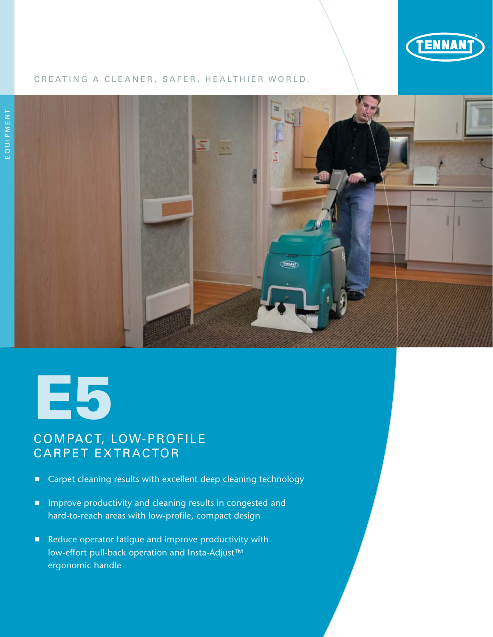

#### CREATING A CLEANER, SAFER, HEALTHIER WORLD.





## COMPACT, LOW-PROFILE CARPET EXTRACTOR

- Carpet cleaning results with excellent deep cleaning technology
- **Improve productivity and cleaning results in congested and** hard-to-reach areas with low-profile, compact design
- Reduce operator fatigue and improve productivity with low-effort pull-back operation and Insta-Adjust™ ergonomic handle